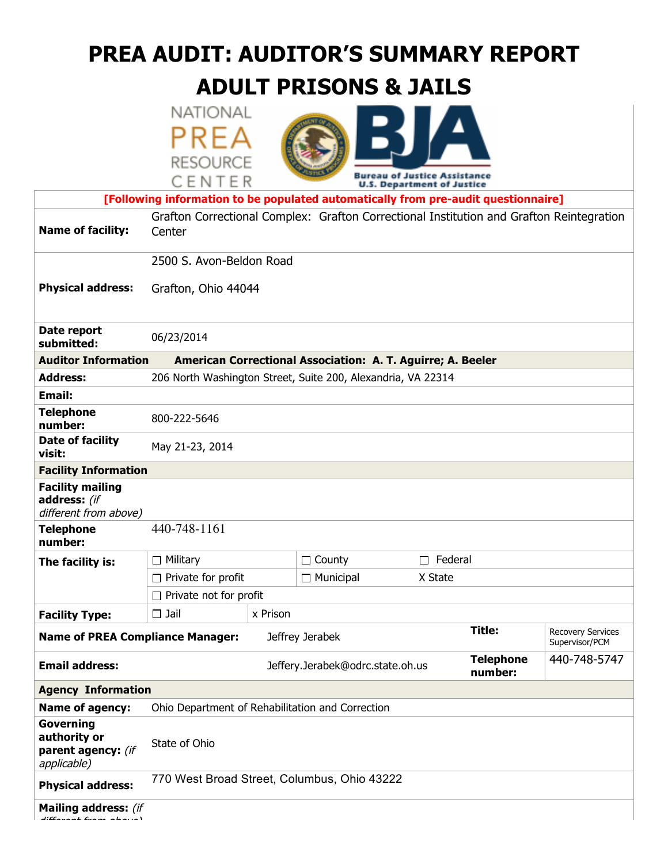# **PREA AUDIT: AUDITOR'S SUMMARY REPORT**

# **ADULT PRISONS & JAILS**

|  | NATIONAL        |
|--|-----------------|
|  | PREA            |
|  | <b>RESOURCE</b> |
|  | CENTER          |



|                                                                  | CENIEK                                                                                             |                                                             | <b>U.S. Department of Justice</b> |                                            |  |
|------------------------------------------------------------------|----------------------------------------------------------------------------------------------------|-------------------------------------------------------------|-----------------------------------|--------------------------------------------|--|
|                                                                  | [Following information to be populated automatically from pre-audit questionnaire]                 |                                                             |                                   |                                            |  |
| <b>Name of facility:</b>                                         | Grafton Correctional Complex: Grafton Correctional Institution and Grafton Reintegration<br>Center |                                                             |                                   |                                            |  |
|                                                                  | 2500 S. Avon-Beldon Road                                                                           |                                                             |                                   |                                            |  |
| <b>Physical address:</b>                                         | Grafton, Ohio 44044                                                                                |                                                             |                                   |                                            |  |
| Date report<br>submitted:                                        | 06/23/2014                                                                                         |                                                             |                                   |                                            |  |
| <b>Auditor Information</b>                                       |                                                                                                    | American Correctional Association: A. T. Aguirre; A. Beeler |                                   |                                            |  |
| <b>Address:</b>                                                  | 206 North Washington Street, Suite 200, Alexandria, VA 22314                                       |                                                             |                                   |                                            |  |
| <b>Email:</b>                                                    |                                                                                                    |                                                             |                                   |                                            |  |
| <b>Telephone</b><br>number:                                      | 800-222-5646                                                                                       |                                                             |                                   |                                            |  |
| Date of facility<br>visit:                                       | May 21-23, 2014                                                                                    |                                                             |                                   |                                            |  |
| <b>Facility Information</b>                                      |                                                                                                    |                                                             |                                   |                                            |  |
| <b>Facility mailing</b><br>address: (if<br>different from above) |                                                                                                    |                                                             |                                   |                                            |  |
| <b>Telephone</b><br>number:                                      | 440-748-1161                                                                                       |                                                             |                                   |                                            |  |
| The facility is:                                                 | $\Box$ Military                                                                                    | $\Box$ County                                               | Federal<br>П                      |                                            |  |
|                                                                  | $\Box$ Private for profit                                                                          | $\Box$ Municipal                                            | X State                           |                                            |  |
|                                                                  | $\Box$ Private not for profit                                                                      |                                                             |                                   |                                            |  |
| <b>Facility Type:</b>                                            | $\Box$ Jail<br>x Prison                                                                            |                                                             |                                   |                                            |  |
| <b>Name of PREA Compliance Manager:</b>                          |                                                                                                    | Jeffrey Jerabek                                             | <b>Title:</b>                     | <b>Recovery Services</b><br>Supervisor/PCM |  |
| <b>Email address:</b>                                            |                                                                                                    | Jeffery.Jerabek@odrc.state.oh.us                            | <b>Telephone</b><br>number:       | 440-748-5747                               |  |
| <b>Agency Information</b>                                        |                                                                                                    |                                                             |                                   |                                            |  |
| Name of agency:                                                  | Ohio Department of Rehabilitation and Correction                                                   |                                                             |                                   |                                            |  |
| Governing<br>authority or<br>parent agency: (if<br>applicable)   | State of Ohio                                                                                      |                                                             |                                   |                                            |  |
| <b>Physical address:</b>                                         | 770 West Broad Street, Columbus, Ohio 43222                                                        |                                                             |                                   |                                            |  |
| <b>Mailing address: (if</b>                                      |                                                                                                    |                                                             |                                   |                                            |  |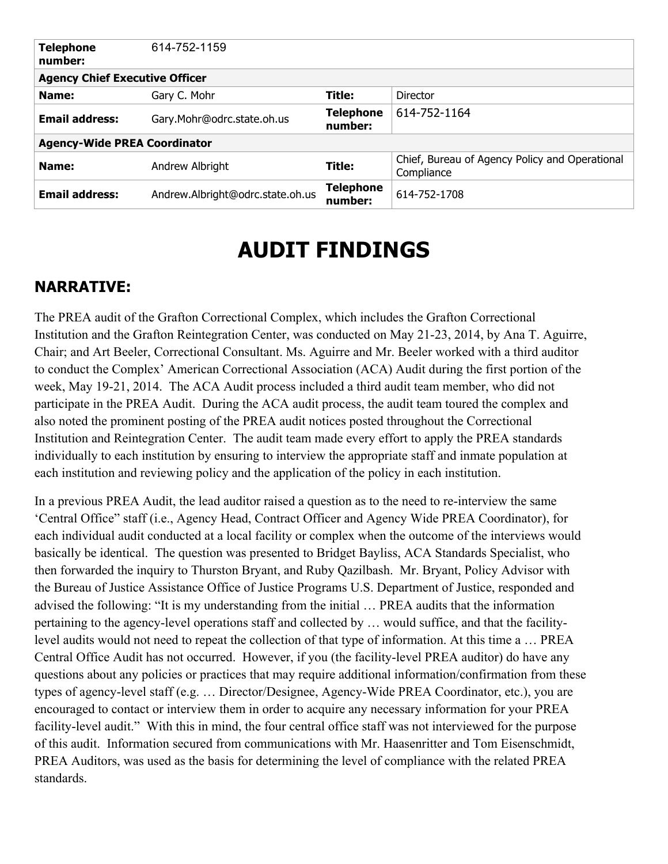| <b>Telephone</b><br>number:           | 614-752-1159                     |                             |                                                              |  |
|---------------------------------------|----------------------------------|-----------------------------|--------------------------------------------------------------|--|
| <b>Agency Chief Executive Officer</b> |                                  |                             |                                                              |  |
| Name:                                 | Gary C. Mohr                     | Title:                      | Director                                                     |  |
| <b>Email address:</b>                 | Gary.Mohr@odrc.state.oh.us       | <b>Telephone</b><br>number: | 614-752-1164                                                 |  |
| <b>Agency-Wide PREA Coordinator</b>   |                                  |                             |                                                              |  |
| Name:                                 | Andrew Albright                  | Title:                      | Chief, Bureau of Agency Policy and Operational<br>Compliance |  |
| <b>Email address:</b>                 | Andrew.Albright@odrc.state.oh.us | <b>Telephone</b><br>number: | 614-752-1708                                                 |  |

# **AUDIT FINDINGS**

# **NARRATIVE:**

The PREA audit of the Grafton Correctional Complex, which includes the Grafton Correctional Institution and the Grafton Reintegration Center, was conducted on May 21-23, 2014, by Ana T. Aguirre, Chair; and Art Beeler, Correctional Consultant. Ms. Aguirre and Mr. Beeler worked with a third auditor to conduct the Complex' American Correctional Association (ACA) Audit during the first portion of the week, May 19-21, 2014. The ACA Audit process included a third audit team member, who did not participate in the PREA Audit. During the ACA audit process, the audit team toured the complex and also noted the prominent posting of the PREA audit notices posted throughout the Correctional Institution and Reintegration Center. The audit team made every effort to apply the PREA standards individually to each institution by ensuring to interview the appropriate staff and inmate population at each institution and reviewing policy and the application of the policy in each institution.

In a previous PREA Audit, the lead auditor raised a question as to the need to re-interview the same 'Central Office" staff (i.e., Agency Head, Contract Officer and Agency Wide PREA Coordinator), for each individual audit conducted at a local facility or complex when the outcome of the interviews would basically be identical. The question was presented to Bridget Bayliss, ACA Standards Specialist, who then forwarded the inquiry to Thurston Bryant, and Ruby Qazilbash. Mr. Bryant, Policy Advisor with the Bureau of Justice Assistance Office of Justice Programs U.S. Department of Justice, responded and advised the following: "It is my understanding from the initial … PREA audits that the information pertaining to the agency-level operations staff and collected by … would suffice, and that the facilitylevel audits would not need to repeat the collection of that type of information. At this time a … PREA Central Office Audit has not occurred. However, if you (the facility-level PREA auditor) do have any questions about any policies or practices that may require additional information/confirmation from these types of agency-level staff (e.g. … Director/Designee, Agency-Wide PREA Coordinator, etc.), you are encouraged to contact or interview them in order to acquire any necessary information for your PREA facility-level audit." With this in mind, the four central office staff was not interviewed for the purpose of this audit. Information secured from communications with Mr. Haasenritter and Tom Eisenschmidt, PREA Auditors, was used as the basis for determining the level of compliance with the related PREA standards.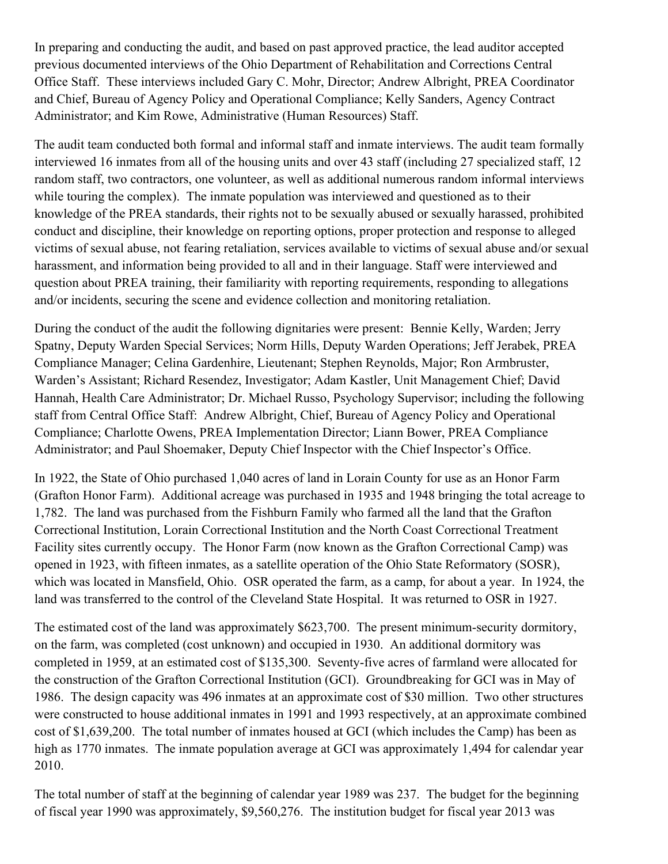In preparing and conducting the audit, and based on past approved practice, the lead auditor accepted previous documented interviews of the Ohio Department of Rehabilitation and Corrections Central Office Staff. These interviews included Gary C. Mohr, Director; Andrew Albright, PREA Coordinator and Chief, Bureau of Agency Policy and Operational Compliance; Kelly Sanders, Agency Contract Administrator; and Kim Rowe, Administrative (Human Resources) Staff.

The audit team conducted both formal and informal staff and inmate interviews. The audit team formally interviewed 16 inmates from all of the housing units and over 43 staff (including 27 specialized staff, 12 random staff, two contractors, one volunteer, as well as additional numerous random informal interviews while touring the complex). The inmate population was interviewed and questioned as to their knowledge of the PREA standards, their rights not to be sexually abused or sexually harassed, prohibited conduct and discipline, their knowledge on reporting options, proper protection and response to alleged victims of sexual abuse, not fearing retaliation, services available to victims of sexual abuse and/or sexual harassment, and information being provided to all and in their language. Staff were interviewed and question about PREA training, their familiarity with reporting requirements, responding to allegations and/or incidents, securing the scene and evidence collection and monitoring retaliation.

During the conduct of the audit the following dignitaries were present: Bennie Kelly, Warden; Jerry Spatny, Deputy Warden Special Services; Norm Hills, Deputy Warden Operations; Jeff Jerabek, PREA Compliance Manager; Celina Gardenhire, Lieutenant; Stephen Reynolds, Major; Ron Armbruster, Warden's Assistant; Richard Resendez, Investigator; Adam Kastler, Unit Management Chief; David Hannah, Health Care Administrator; Dr. Michael Russo, Psychology Supervisor; including the following staff from Central Office Staff: Andrew Albright, Chief, Bureau of Agency Policy and Operational Compliance; Charlotte Owens, PREA Implementation Director; Liann Bower, PREA Compliance Administrator; and Paul Shoemaker, Deputy Chief Inspector with the Chief Inspector's Office.

In 1922, the State of Ohio purchased 1,040 acres of land in Lorain County for use as an Honor Farm (Grafton Honor Farm). Additional acreage was purchased in 1935 and 1948 bringing the total acreage to 1,782. The land was purchased from the Fishburn Family who farmed all the land that the Grafton Correctional Institution, Lorain Correctional Institution and the North Coast Correctional Treatment Facility sites currently occupy. The Honor Farm (now known as the Grafton Correctional Camp) was opened in 1923, with fifteen inmates, as a satellite operation of the Ohio State Reformatory (SOSR), which was located in Mansfield, Ohio. OSR operated the farm, as a camp, for about a year. In 1924, the land was transferred to the control of the Cleveland State Hospital. It was returned to OSR in 1927.

The estimated cost of the land was approximately \$623,700. The present minimum-security dormitory, on the farm, was completed (cost unknown) and occupied in 1930. An additional dormitory was completed in 1959, at an estimated cost of \$135,300. Seventy-five acres of farmland were allocated for the construction of the Grafton Correctional Institution (GCI). Groundbreaking for GCI was in May of 1986. The design capacity was 496 inmates at an approximate cost of \$30 million. Two other structures were constructed to house additional inmates in 1991 and 1993 respectively, at an approximate combined cost of \$1,639,200. The total number of inmates housed at GCI (which includes the Camp) has been as high as 1770 inmates. The inmate population average at GCI was approximately 1,494 for calendar year 2010.

The total number of staff at the beginning of calendar year 1989 was 237. The budget for the beginning of fiscal year 1990 was approximately, \$9,560,276. The institution budget for fiscal year 2013 was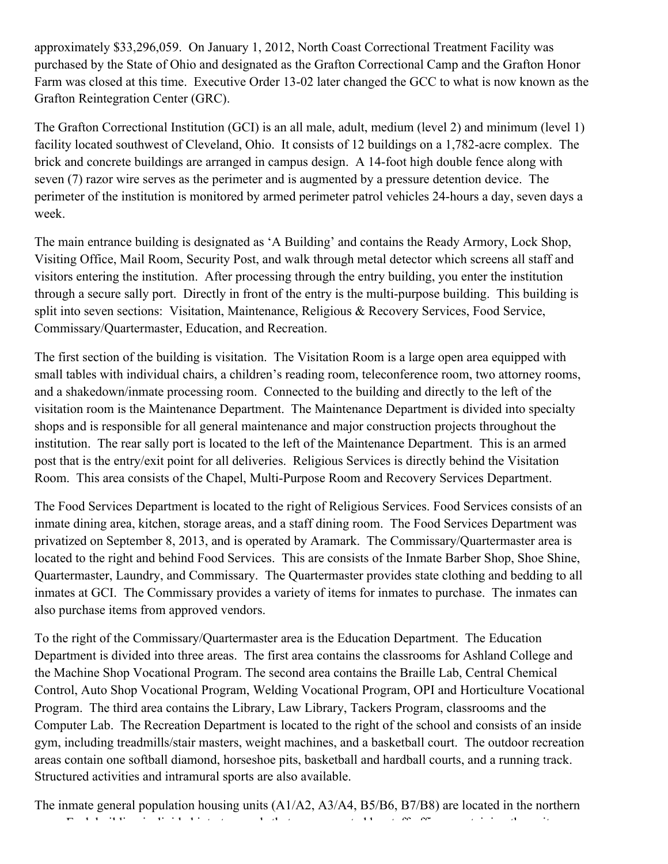approximately \$33,296,059. On January 1, 2012, North Coast Correctional Treatment Facility was purchased by the State of Ohio and designated as the Grafton Correctional Camp and the Grafton Honor Farm was closed at this time. Executive Order 13-02 later changed the GCC to what is now known as the Grafton Reintegration Center (GRC).

The Grafton Correctional Institution (GCI) is an all male, adult, medium (level 2) and minimum (level 1) facility located southwest of Cleveland, Ohio. It consists of 12 buildings on a 1,782-acre complex. The brick and concrete buildings are arranged in campus design. A 14-foot high double fence along with seven (7) razor wire serves as the perimeter and is augmented by a pressure detention device. The perimeter of the institution is monitored by armed perimeter patrol vehicles 24-hours a day, seven days a week.

The main entrance building is designated as 'A Building' and contains the Ready Armory, Lock Shop, Visiting Office, Mail Room, Security Post, and walk through metal detector which screens all staff and visitors entering the institution. After processing through the entry building, you enter the institution through a secure sally port. Directly in front of the entry is the multi-purpose building. This building is split into seven sections: Visitation, Maintenance, Religious & Recovery Services, Food Service, Commissary/Quartermaster, Education, and Recreation.

The first section of the building is visitation. The Visitation Room is a large open area equipped with small tables with individual chairs, a children's reading room, teleconference room, two attorney rooms, and a shakedown/inmate processing room. Connected to the building and directly to the left of the visitation room is the Maintenance Department. The Maintenance Department is divided into specialty shops and is responsible for all general maintenance and major construction projects throughout the institution. The rear sally port is located to the left of the Maintenance Department. This is an armed post that is the entry/exit point for all deliveries. Religious Services is directly behind the Visitation Room. This area consists of the Chapel, Multi-Purpose Room and Recovery Services Department.

The Food Services Department is located to the right of Religious Services. Food Services consists of an inmate dining area, kitchen, storage areas, and a staff dining room. The Food Services Department was privatized on September 8, 2013, and is operated by Aramark. The Commissary/Quartermaster area is located to the right and behind Food Services. This are consists of the Inmate Barber Shop, Shoe Shine, Quartermaster, Laundry, and Commissary. The Quartermaster provides state clothing and bedding to all inmates at GCI. The Commissary provides a variety of items for inmates to purchase. The inmates can also purchase items from approved vendors.

To the right of the Commissary/Quartermaster area is the Education Department. The Education Department is divided into three areas. The first area contains the classrooms for Ashland College and the Machine Shop Vocational Program. The second area contains the Braille Lab, Central Chemical Control, Auto Shop Vocational Program, Welding Vocational Program, OPI and Horticulture Vocational Program. The third area contains the Library, Law Library, Tackers Program, classrooms and the Computer Lab. The Recreation Department is located to the right of the school and consists of an inside gym, including treadmills/stair masters, weight machines, and a basketball court. The outdoor recreation areas contain one softball diamond, horseshoe pits, basketball and hardball courts, and a running track. Structured activities and intramural sports are also available.

The inmate general population housing units (A1/A2, A3/A4, B5/B6, B7/B8) are located in the northern area. Each building is divided into two pods that are connected by staff offices containing the unit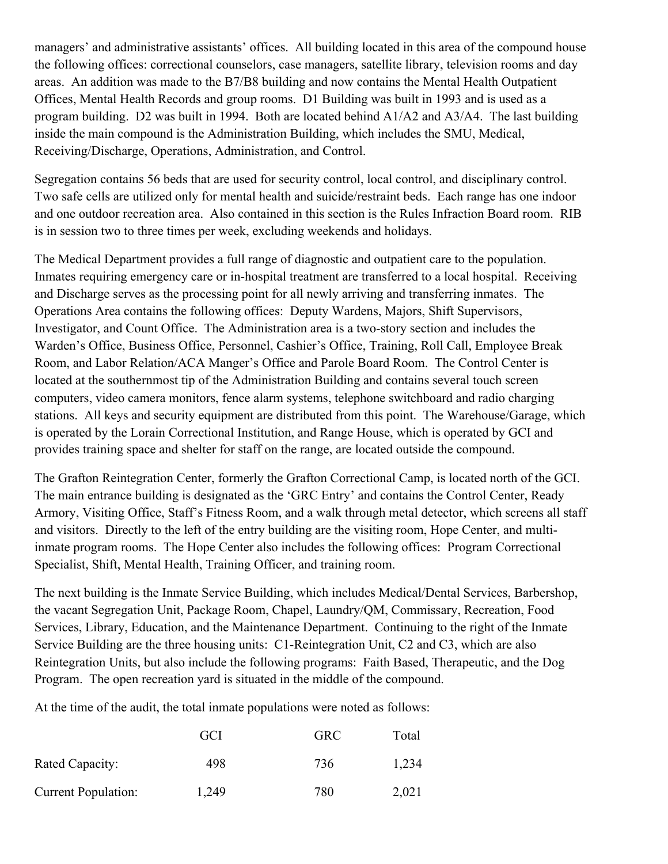managers' and administrative assistants' offices. All building located in this area of the compound house the following offices: correctional counselors, case managers, satellite library, television rooms and day areas. An addition was made to the B7/B8 building and now contains the Mental Health Outpatient Offices, Mental Health Records and group rooms. D1 Building was built in 1993 and is used as a program building. D2 was built in 1994. Both are located behind A1/A2 and A3/A4. The last building inside the main compound is the Administration Building, which includes the SMU, Medical, Receiving/Discharge, Operations, Administration, and Control.

Segregation contains 56 beds that are used for security control, local control, and disciplinary control. Two safe cells are utilized only for mental health and suicide/restraint beds. Each range has one indoor and one outdoor recreation area. Also contained in this section is the Rules Infraction Board room. RIB is in session two to three times per week, excluding weekends and holidays.

The Medical Department provides a full range of diagnostic and outpatient care to the population. Inmates requiring emergency care or in-hospital treatment are transferred to a local hospital. Receiving and Discharge serves as the processing point for all newly arriving and transferring inmates. The Operations Area contains the following offices: Deputy Wardens, Majors, Shift Supervisors, Investigator, and Count Office. The Administration area is a two-story section and includes the Warden's Office, Business Office, Personnel, Cashier's Office, Training, Roll Call, Employee Break Room, and Labor Relation/ACA Manger's Office and Parole Board Room. The Control Center is located at the southernmost tip of the Administration Building and contains several touch screen computers, video camera monitors, fence alarm systems, telephone switchboard and radio charging stations. All keys and security equipment are distributed from this point. The Warehouse/Garage, which is operated by the Lorain Correctional Institution, and Range House, which is operated by GCI and provides training space and shelter for staff on the range, are located outside the compound.

The Grafton Reintegration Center, formerly the Grafton Correctional Camp, is located north of the GCI. The main entrance building is designated as the 'GRC Entry' and contains the Control Center, Ready Armory, Visiting Office, Staff's Fitness Room, and a walk through metal detector, which screens all staff and visitors. Directly to the left of the entry building are the visiting room, Hope Center, and multiinmate program rooms. The Hope Center also includes the following offices: Program Correctional Specialist, Shift, Mental Health, Training Officer, and training room.

The next building is the Inmate Service Building, which includes Medical/Dental Services, Barbershop, the vacant Segregation Unit, Package Room, Chapel, Laundry/QM, Commissary, Recreation, Food Services, Library, Education, and the Maintenance Department. Continuing to the right of the Inmate Service Building are the three housing units: C1-Reintegration Unit, C2 and C3, which are also Reintegration Units, but also include the following programs: Faith Based, Therapeutic, and the Dog Program. The open recreation yard is situated in the middle of the compound.

At the time of the audit, the total inmate populations were noted as follows:

|                            | GCI   | <b>GRC</b> | Total |
|----------------------------|-------|------------|-------|
| Rated Capacity:            | 498   | 736        | 1,234 |
| <b>Current Population:</b> | 1,249 | 780        | 2,021 |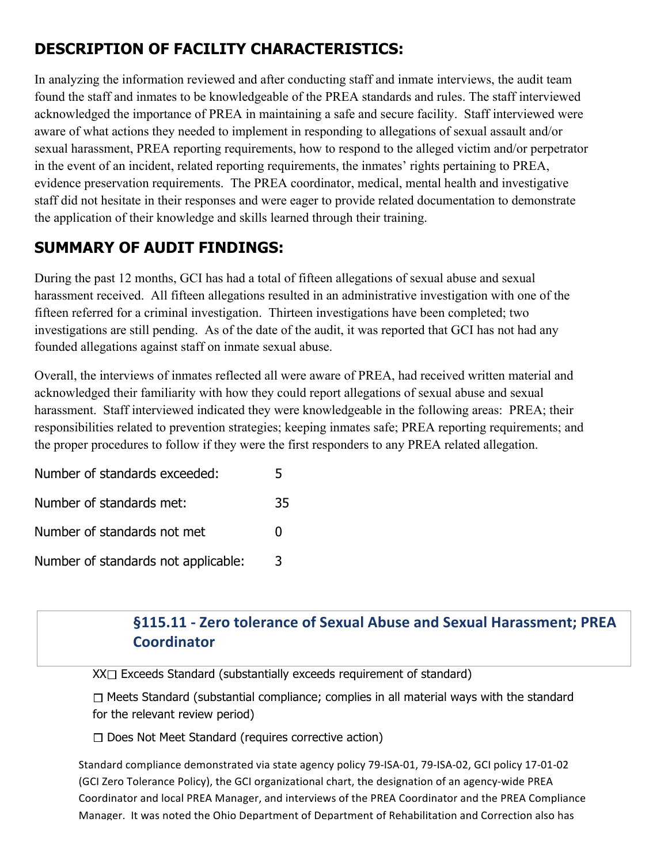# **DESCRIPTION OF FACILITY CHARACTERISTICS:**

In analyzing the information reviewed and after conducting staff and inmate interviews, the audit team found the staff and inmates to be knowledgeable of the PREA standards and rules. The staff interviewed acknowledged the importance of PREA in maintaining a safe and secure facility. Staff interviewed were aware of what actions they needed to implement in responding to allegations of sexual assault and/or sexual harassment, PREA reporting requirements, how to respond to the alleged victim and/or perpetrator in the event of an incident, related reporting requirements, the inmates' rights pertaining to PREA, evidence preservation requirements. The PREA coordinator, medical, mental health and investigative staff did not hesitate in their responses and were eager to provide related documentation to demonstrate the application of their knowledge and skills learned through their training.

# **SUMMARY OF AUDIT FINDINGS:**

During the past 12 months, GCI has had a total of fifteen allegations of sexual abuse and sexual harassment received. All fifteen allegations resulted in an administrative investigation with one of the fifteen referred for a criminal investigation. Thirteen investigations have been completed; two investigations are still pending. As of the date of the audit, it was reported that GCI has not had any founded allegations against staff on inmate sexual abuse.

Overall, the interviews of inmates reflected all were aware of PREA, had received written material and acknowledged their familiarity with how they could report allegations of sexual abuse and sexual harassment. Staff interviewed indicated they were knowledgeable in the following areas: PREA; their responsibilities related to prevention strategies; keeping inmates safe; PREA reporting requirements; and the proper procedures to follow if they were the first responders to any PREA related allegation.

| Number of standards exceeded:       |              |
|-------------------------------------|--------------|
| Number of standards met:            | 35           |
| Number of standards not met         | $\mathbf{I}$ |
| Number of standards not applicable: | 3            |

# §115.11 - Zero tolerance of Sexual Abuse and Sexual Harassment; PREA **Coordinator**

 $XX \square$  Exceeds Standard (substantially exceeds requirement of standard)

 $\Box$  Meets Standard (substantial compliance; complies in all material ways with the standard for the relevant review period)

 $\Box$  Does Not Meet Standard (requires corrective action)

Standard compliance demonstrated via state agency policy 79-ISA-01, 79-ISA-02, GCI policy 17-01-02 (GCI Zero Tolerance Policy), the GCI organizational chart, the designation of an agency-wide PREA Coordinator and local PREA Manager, and interviews of the PREA Coordinator and the PREA Compliance Manager. It was noted the Ohio Department of Department of Rehabilitation and Correction also has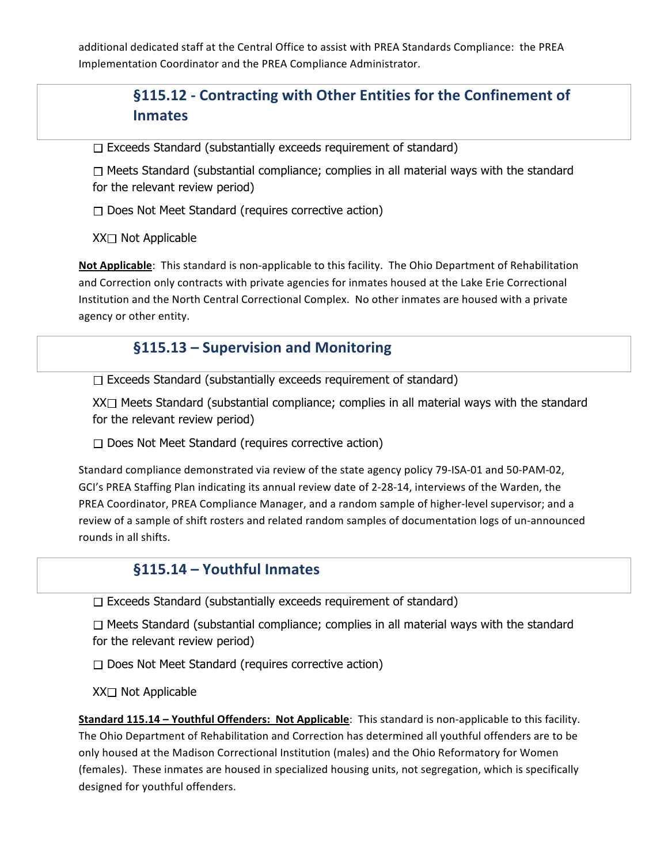additional dedicated staff at the Central Office to assist with PREA Standards Compliance: the PREA Implementation Coordinator and the PREA Compliance Administrator.

# **§115.12 - Contracting with Other Entities for the Confinement of Inmates**

 $\Box$  Exceeds Standard (substantially exceeds requirement of standard)

 $\Box$  Meets Standard (substantial compliance; complies in all material ways with the standard for the relevant review period)

 $\Box$  Does Not Meet Standard (requires corrective action)

 $XX \square$  Not Applicable

**Not Applicable**: This standard is non-applicable to this facility. The Ohio Department of Rehabilitation and Correction only contracts with private agencies for inmates housed at the Lake Erie Correctional Institution and the North Central Correctional Complex. No other inmates are housed with a private agency or other entity.

#### **§115.13 – Supervision and Monitoring**

 $\Box$  Exceeds Standard (substantially exceeds requirement of standard)

 $XX \Box$  Meets Standard (substantial compliance; complies in all material ways with the standard for the relevant review period)

 $\Box$  Does Not Meet Standard (requires corrective action)

Standard compliance demonstrated via review of the state agency policy 79-ISA-01 and 50-PAM-02, GCI's PREA Staffing Plan indicating its annual review date of 2-28-14, interviews of the Warden, the PREA Coordinator, PREA Compliance Manager, and a random sample of higher-level supervisor; and a review of a sample of shift rosters and related random samples of documentation logs of un-announced rounds in all shifts.

#### §115.14 - Youthful Inmates

 $\Box$  Exceeds Standard (substantially exceeds requirement of standard)

 $\Box$  Meets Standard (substantial compliance; complies in all material ways with the standard for the relevant review period)

 $\Box$  Does Not Meet Standard (requires corrective action)

XX□ Not Applicable

**Standard 115.14 - Youthful Offenders: Not Applicable**: This standard is non-applicable to this facility. The Ohio Department of Rehabilitation and Correction has determined all youthful offenders are to be only housed at the Madison Correctional Institution (males) and the Ohio Reformatory for Women (females). These inmates are housed in specialized housing units, not segregation, which is specifically designed for youthful offenders.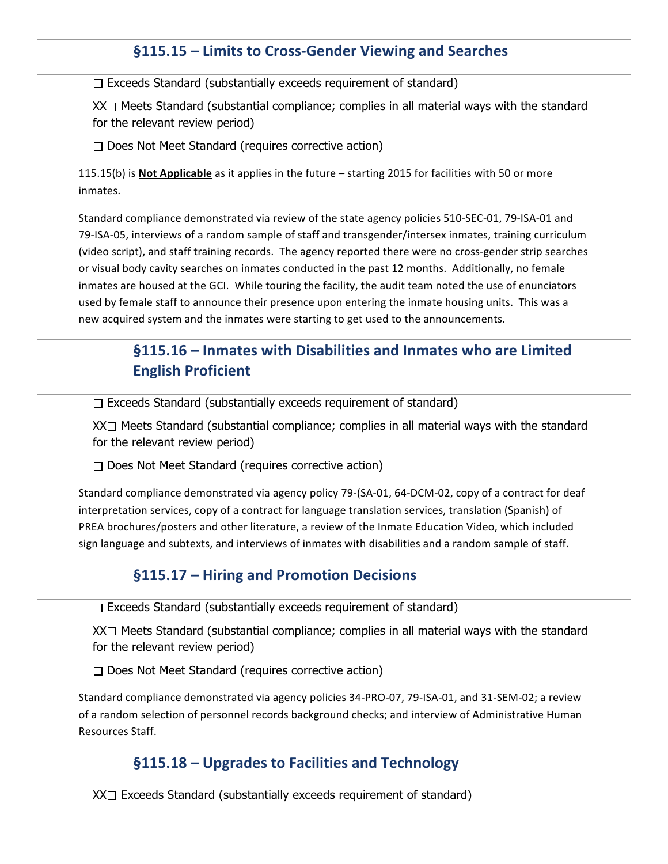### §115.15 – Limits to Cross-Gender Viewing and Searches

 $\Box$  Exceeds Standard (substantially exceeds requirement of standard)

 $XX \square$  Meets Standard (substantial compliance; complies in all material ways with the standard for the relevant review period)

 $\Box$  Does Not Meet Standard (requires corrective action)

115.15(b) is **Not Applicable** as it applies in the future – starting 2015 for facilities with 50 or more inmates. 

Standard compliance demonstrated via review of the state agency policies 510-SEC-01, 79-ISA-01 and 79-ISA-05, interviews of a random sample of staff and transgender/intersex inmates, training curriculum (video script), and staff training records. The agency reported there were no cross-gender strip searches or visual body cavity searches on inmates conducted in the past 12 months. Additionally, no female inmates are housed at the GCI. While touring the facility, the audit team noted the use of enunciators used by female staff to announce their presence upon entering the inmate housing units. This was a new acquired system and the inmates were starting to get used to the announcements.

# **§115.16** – Inmates with Disabilities and Inmates who are Limited **English Proficient**

 $\Box$  Exceeds Standard (substantially exceeds requirement of standard)

 $XX\Box$  Meets Standard (substantial compliance; complies in all material ways with the standard for the relevant review period)

 $\Box$  Does Not Meet Standard (requires corrective action)

Standard compliance demonstrated via agency policy 79-(SA-01, 64-DCM-02, copy of a contract for deaf interpretation services, copy of a contract for language translation services, translation (Spanish) of PREA brochures/posters and other literature, a review of the Inmate Education Video, which included sign language and subtexts, and interviews of inmates with disabilities and a random sample of staff.

#### **§115.17 – Hiring and Promotion Decisions**

 $\Box$  Exceeds Standard (substantially exceeds requirement of standard)

 $XX \Box$  Meets Standard (substantial compliance; complies in all material ways with the standard for the relevant review period)

 $\Box$  Does Not Meet Standard (requires corrective action)

Standard compliance demonstrated via agency policies 34-PRO-07, 79-ISA-01, and 31-SEM-02; a review of a random selection of personnel records background checks; and interview of Administrative Human Resources Staff.

#### **§115.18** – Upgrades to Facilities and Technology

 $XX \square$  Exceeds Standard (substantially exceeds requirement of standard)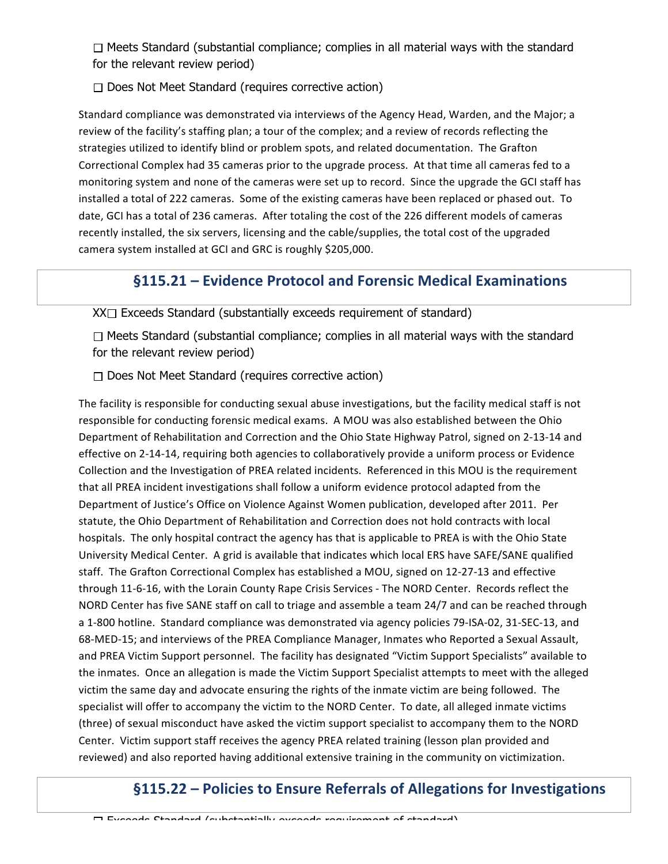$\Box$  Meets Standard (substantial compliance; complies in all material ways with the standard for the relevant review period)

 $\Box$  Does Not Meet Standard (requires corrective action)

Standard compliance was demonstrated via interviews of the Agency Head, Warden, and the Major; a review of the facility's staffing plan; a tour of the complex; and a review of records reflecting the strategies utilized to identify blind or problem spots, and related documentation. The Grafton Correctional Complex had 35 cameras prior to the upgrade process. At that time all cameras fed to a monitoring system and none of the cameras were set up to record. Since the upgrade the GCI staff has installed a total of 222 cameras. Some of the existing cameras have been replaced or phased out. To date, GCI has a total of 236 cameras. After totaling the cost of the 226 different models of cameras recently installed, the six servers, licensing and the cable/supplies, the total cost of the upgraded camera system installed at GCI and GRC is roughly \$205,000.

#### **§115.21 – Evidence Protocol and Forensic Medical Examinations**

 $XX \square$  Exceeds Standard (substantially exceeds requirement of standard)

 $\Box$  Meets Standard (substantial compliance; complies in all material ways with the standard for the relevant review period)

 $\Box$  Does Not Meet Standard (requires corrective action)

The facility is responsible for conducting sexual abuse investigations, but the facility medical staff is not responsible for conducting forensic medical exams. A MOU was also established between the Ohio Department of Rehabilitation and Correction and the Ohio State Highway Patrol, signed on 2-13-14 and effective on 2-14-14, requiring both agencies to collaboratively provide a uniform process or Evidence Collection and the Investigation of PREA related incidents. Referenced in this MOU is the requirement that all PREA incident investigations shall follow a uniform evidence protocol adapted from the Department of Justice's Office on Violence Against Women publication, developed after 2011. Per statute, the Ohio Department of Rehabilitation and Correction does not hold contracts with local hospitals. The only hospital contract the agency has that is applicable to PREA is with the Ohio State University Medical Center. A grid is available that indicates which local ERS have SAFE/SANE qualified staff. The Grafton Correctional Complex has established a MOU, signed on 12-27-13 and effective through 11-6-16, with the Lorain County Rape Crisis Services - The NORD Center. Records reflect the NORD Center has five SANE staff on call to triage and assemble a team 24/7 and can be reached through a 1-800 hotline. Standard compliance was demonstrated via agency policies 79-ISA-02, 31-SEC-13, and 68-MED-15; and interviews of the PREA Compliance Manager, Inmates who Reported a Sexual Assault, and PREA Victim Support personnel. The facility has designated "Victim Support Specialists" available to the inmates. Once an allegation is made the Victim Support Specialist attempts to meet with the alleged victim the same day and advocate ensuring the rights of the inmate victim are being followed. The specialist will offer to accompany the victim to the NORD Center. To date, all alleged inmate victims (three) of sexual misconduct have asked the victim support specialist to accompany them to the NORD Center. Victim support staff receives the agency PREA related training (lesson plan provided and reviewed) and also reported having additional extensive training in the community on victimization.

# §115.22 – Policies to Ensure Referrals of Allegations for Investigations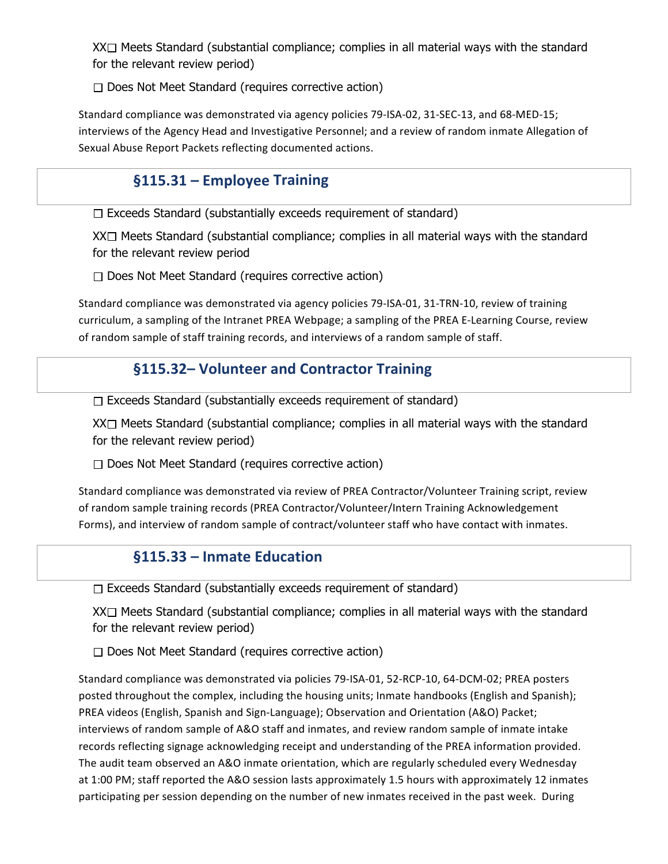$XX\Box$  Meets Standard (substantial compliance; complies in all material ways with the standard for the relevant review period)

 $\Box$  Does Not Meet Standard (requires corrective action)

Standard compliance was demonstrated via agency policies 79-ISA-02, 31-SEC-13, and 68-MED-15; interviews of the Agency Head and Investigative Personnel; and a review of random inmate Allegation of Sexual Abuse Report Packets reflecting documented actions.

#### §115.31 – Employee Training

 $\Box$  Exceeds Standard (substantially exceeds requirement of standard)

 $XX \square$  Meets Standard (substantial compliance; complies in all material ways with the standard for the relevant review period

 $\Box$  Does Not Meet Standard (requires corrective action)

Standard compliance was demonstrated via agency policies 79-ISA-01, 31-TRN-10, review of training curriculum, a sampling of the Intranet PREA Webpage; a sampling of the PREA E-Learning Course, review of random sample of staff training records, and interviews of a random sample of staff.

#### **§115.32– Volunteer and Contractor Training**

 $\Box$  Exceeds Standard (substantially exceeds requirement of standard)

 $XX \square$  Meets Standard (substantial compliance; complies in all material ways with the standard for the relevant review period)

 $\Box$  Does Not Meet Standard (requires corrective action)

Standard compliance was demonstrated via review of PREA Contractor/Volunteer Training script, review of random sample training records (PREA Contractor/Volunteer/Intern Training Acknowledgement Forms), and interview of random sample of contract/volunteer staff who have contact with inmates.

#### **§115.33 – Inmate Education**

 $\Box$  Exceeds Standard (substantially exceeds requirement of standard)

 $XX\Box$  Meets Standard (substantial compliance; complies in all material ways with the standard for the relevant review period)

 $\Box$  Does Not Meet Standard (requires corrective action)

Standard compliance was demonstrated via policies 79-ISA-01, 52-RCP-10, 64-DCM-02; PREA posters posted throughout the complex, including the housing units; Inmate handbooks (English and Spanish); PREA videos (English, Spanish and Sign-Language); Observation and Orientation (A&O) Packet; interviews of random sample of A&O staff and inmates, and review random sample of inmate intake records reflecting signage acknowledging receipt and understanding of the PREA information provided. The audit team observed an A&O inmate orientation, which are regularly scheduled every Wednesday at 1:00 PM; staff reported the A&O session lasts approximately 1.5 hours with approximately 12 inmates participating per session depending on the number of new inmates received in the past week. During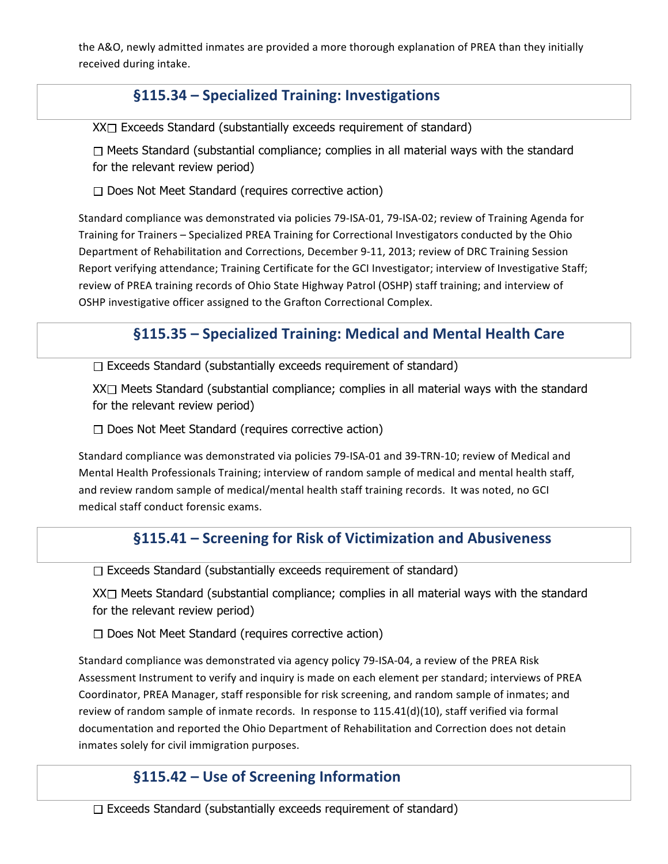the A&O, newly admitted inmates are provided a more thorough explanation of PREA than they initially received during intake.

#### **§115.34 – Specialized Training: Investigations**

 $XX\Box$  Exceeds Standard (substantially exceeds requirement of standard)

 $\Box$  Meets Standard (substantial compliance; complies in all material ways with the standard for the relevant review period)

 $\Box$  Does Not Meet Standard (requires corrective action)

Standard compliance was demonstrated via policies 79-ISA-01, 79-ISA-02; review of Training Agenda for Training for Trainers - Specialized PREA Training for Correctional Investigators conducted by the Ohio Department of Rehabilitation and Corrections, December 9-11, 2013; review of DRC Training Session Report verifying attendance; Training Certificate for the GCI Investigator; interview of Investigative Staff; review of PREA training records of Ohio State Highway Patrol (OSHP) staff training; and interview of OSHP investigative officer assigned to the Grafton Correctional Complex.

# §115.35 - Specialized Training: Medical and Mental Health Care

 $\Box$  Exceeds Standard (substantially exceeds requirement of standard)

 $XX \square$  Meets Standard (substantial compliance; complies in all material ways with the standard for the relevant review period)

 $\Box$  Does Not Meet Standard (requires corrective action)

Standard compliance was demonstrated via policies 79-ISA-01 and 39-TRN-10; review of Medical and Mental Health Professionals Training; interview of random sample of medical and mental health staff, and review random sample of medical/mental health staff training records. It was noted, no GCI medical staff conduct forensic exams.

#### §115.41 – Screening for Risk of Victimization and Abusiveness

 $\Box$  Exceeds Standard (substantially exceeds requirement of standard)

 $XX\Box$  Meets Standard (substantial compliance; complies in all material ways with the standard for the relevant review period)

 $\Box$  Does Not Meet Standard (requires corrective action)

Standard compliance was demonstrated via agency policy 79-ISA-04, a review of the PREA Risk Assessment Instrument to verify and inquiry is made on each element per standard; interviews of PREA Coordinator, PREA Manager, staff responsible for risk screening, and random sample of inmates; and review of random sample of inmate records. In response to  $115.41(d)(10)$ , staff verified via formal documentation and reported the Ohio Department of Rehabilitation and Correction does not detain inmates solely for civil immigration purposes.

#### **§115.42 – Use of Screening Information**

 $\Box$  Exceeds Standard (substantially exceeds requirement of standard)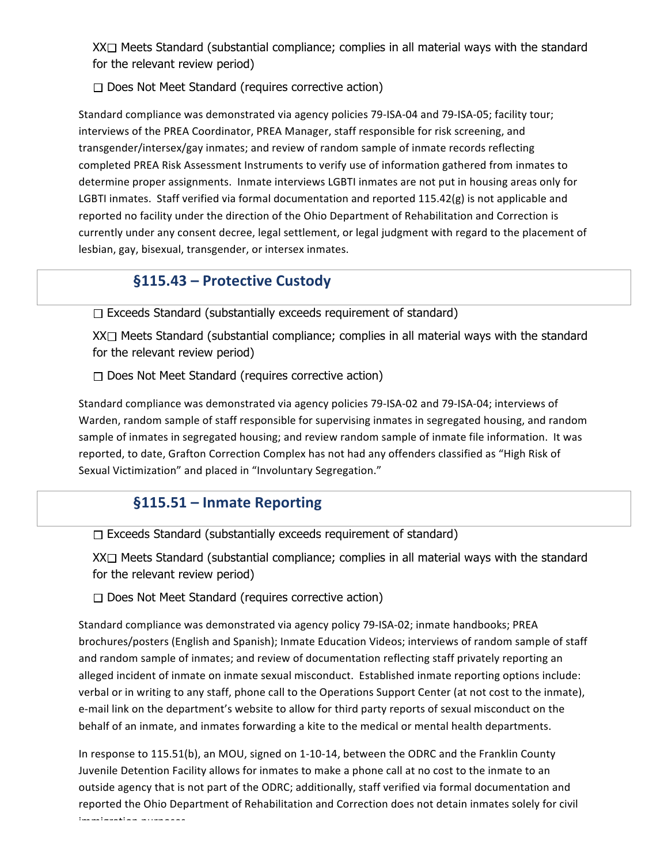XX<sup>I</sup> Meets Standard (substantial compliance; complies in all material ways with the standard for the relevant review period)

 $\Box$  Does Not Meet Standard (requires corrective action)

Standard compliance was demonstrated via agency policies 79-ISA-04 and 79-ISA-05; facility tour; interviews of the PREA Coordinator, PREA Manager, staff responsible for risk screening, and transgender/intersex/gay inmates; and review of random sample of inmate records reflecting completed PREA Risk Assessment Instruments to verify use of information gathered from inmates to determine proper assignments. Inmate interviews LGBTI inmates are not put in housing areas only for LGBTI inmates. Staff verified via formal documentation and reported  $115.42(g)$  is not applicable and reported no facility under the direction of the Ohio Department of Rehabilitation and Correction is currently under any consent decree, legal settlement, or legal judgment with regard to the placement of lesbian, gay, bisexual, transgender, or intersex inmates.

#### **§115.43 – Protective Custody**

 $\Box$  Exceeds Standard (substantially exceeds requirement of standard)

 $XX\Box$  Meets Standard (substantial compliance; complies in all material ways with the standard for the relevant review period)

 $\Box$  Does Not Meet Standard (requires corrective action)

Standard compliance was demonstrated via agency policies 79-ISA-02 and 79-ISA-04; interviews of Warden, random sample of staff responsible for supervising inmates in segregated housing, and random sample of inmates in segregated housing; and review random sample of inmate file information. It was reported, to date, Grafton Correction Complex has not had any offenders classified as "High Risk of Sexual Victimization" and placed in "Involuntary Segregation."

#### **§115.51 – Inmate Reporting**

 $\Box$  Exceeds Standard (substantially exceeds requirement of standard)

 $XX\Box$  Meets Standard (substantial compliance; complies in all material ways with the standard for the relevant review period)

 $\Box$  Does Not Meet Standard (requires corrective action)

Standard compliance was demonstrated via agency policy 79-ISA-02; inmate handbooks; PREA brochures/posters (English and Spanish); Inmate Education Videos; interviews of random sample of staff and random sample of inmates; and review of documentation reflecting staff privately reporting an alleged incident of inmate on inmate sexual misconduct. Established inmate reporting options include: verbal or in writing to any staff, phone call to the Operations Support Center (at not cost to the inmate), e-mail link on the department's website to allow for third party reports of sexual misconduct on the behalf of an inmate, and inmates forwarding a kite to the medical or mental health departments.

In response to 115.51(b), an MOU, signed on 1-10-14, between the ODRC and the Franklin County Juvenile Detention Facility allows for inmates to make a phone call at no cost to the inmate to an outside agency that is not part of the ODRC; additionally, staff verified via formal documentation and reported the Ohio Department of Rehabilitation and Correction does not detain inmates solely for civil immigration purposes.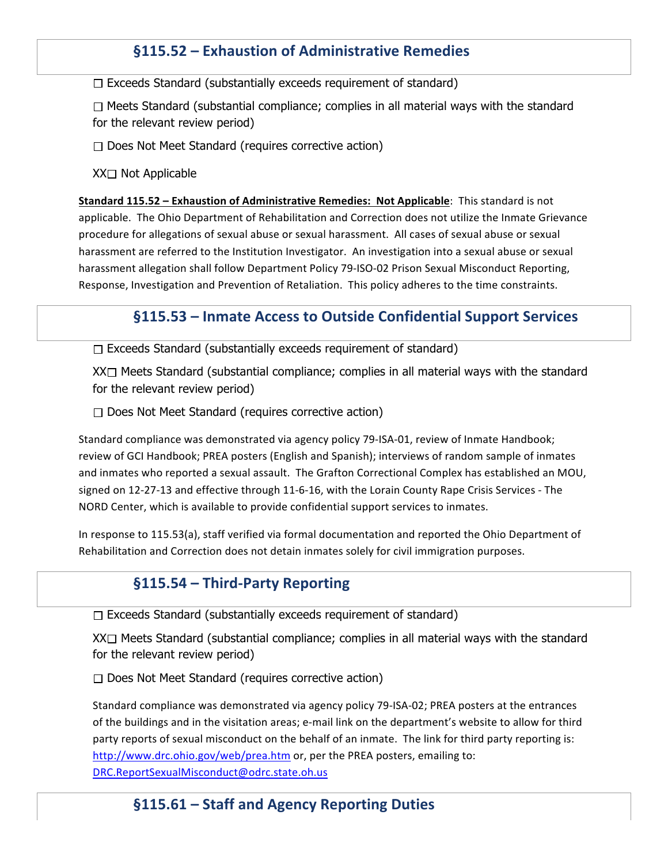### **§115.52 – Exhaustion of Administrative Remedies**

 $\Box$  Exceeds Standard (substantially exceeds requirement of standard)

 $\Box$  Meets Standard (substantial compliance; complies in all material ways with the standard for the relevant review period)

 $\Box$  Does Not Meet Standard (requires corrective action)

 $XX \square$  Not Applicable

**Standard 115.52 – Exhaustion of Administrative Remedies: Not Applicable: This standard is not** applicable. The Ohio Department of Rehabilitation and Correction does not utilize the Inmate Grievance procedure for allegations of sexual abuse or sexual harassment. All cases of sexual abuse or sexual harassment are referred to the Institution Investigator. An investigation into a sexual abuse or sexual harassment allegation shall follow Department Policy 79-ISO-02 Prison Sexual Misconduct Reporting, Response, Investigation and Prevention of Retaliation. This policy adheres to the time constraints.

#### **§115.53** – Inmate Access to Outside Confidential Support Services

 $\Box$  Exceeds Standard (substantially exceeds requirement of standard)

 $XX\Box$  Meets Standard (substantial compliance; complies in all material ways with the standard for the relevant review period)

 $\Box$  Does Not Meet Standard (requires corrective action)

Standard compliance was demonstrated via agency policy 79-ISA-01, review of Inmate Handbook; review of GCI Handbook; PREA posters (English and Spanish); interviews of random sample of inmates and inmates who reported a sexual assault. The Grafton Correctional Complex has established an MOU, signed on 12-27-13 and effective through 11-6-16, with the Lorain County Rape Crisis Services - The NORD Center, which is available to provide confidential support services to inmates.

In response to 115.53(a), staff verified via formal documentation and reported the Ohio Department of Rehabilitation and Correction does not detain inmates solely for civil immigration purposes.

#### **§115.54 – Third-Party Reporting**

 $\Box$  Exceeds Standard (substantially exceeds requirement of standard)

 $XX \square$  Meets Standard (substantial compliance; complies in all material ways with the standard for the relevant review period)

 $\Box$  Does Not Meet Standard (requires corrective action)

Standard compliance was demonstrated via agency policy 79-ISA-02; PREA posters at the entrances of the buildings and in the visitation areas; e-mail link on the department's website to allow for third party reports of sexual misconduct on the behalf of an inmate. The link for third party reporting is: http://www.drc.ohio.gov/web/prea.htm or, per the PREA posters, emailing to: DRC.ReportSexualMisconduct@odrc.state.oh.us 

#### §115.61 – Staff and Agency Reporting Duties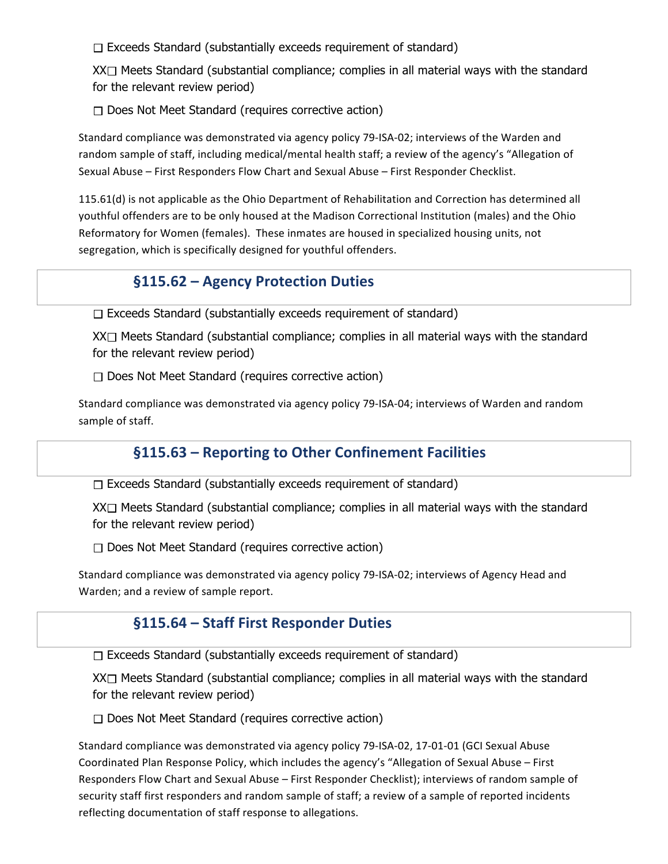$\Box$  Exceeds Standard (substantially exceeds requirement of standard)

 $XX \square$  Meets Standard (substantial compliance; complies in all material ways with the standard for the relevant review period)

 $\Box$  Does Not Meet Standard (requires corrective action)

Standard compliance was demonstrated via agency policy 79-ISA-02; interviews of the Warden and random sample of staff, including medical/mental health staff; a review of the agency's "Allegation of Sexual Abuse - First Responders Flow Chart and Sexual Abuse - First Responder Checklist.

115.61(d) is not applicable as the Ohio Department of Rehabilitation and Correction has determined all youthful offenders are to be only housed at the Madison Correctional Institution (males) and the Ohio Reformatory for Women (females). These inmates are housed in specialized housing units, not segregation, which is specifically designed for youthful offenders.

#### **§115.62 – Agency Protection Duties**

 $\Box$  Exceeds Standard (substantially exceeds requirement of standard)

 $XX\Box$  Meets Standard (substantial compliance; complies in all material ways with the standard for the relevant review period)

 $\Box$  Does Not Meet Standard (requires corrective action)

Standard compliance was demonstrated via agency policy 79-ISA-04; interviews of Warden and random sample of staff.

# §115.63 - Reporting to Other Confinement Facilities

 $\Box$  Exceeds Standard (substantially exceeds requirement of standard)

 $XX \Box$  Meets Standard (substantial compliance; complies in all material ways with the standard for the relevant review period)

 $\Box$  Does Not Meet Standard (requires corrective action)

Standard compliance was demonstrated via agency policy 79-ISA-02; interviews of Agency Head and Warden; and a review of sample report.

#### **§115.64 – Staff First Responder Duties**

 $\Box$  Exceeds Standard (substantially exceeds requirement of standard)

 $XX\Box$  Meets Standard (substantial compliance; complies in all material ways with the standard for the relevant review period)

 $\Box$  Does Not Meet Standard (requires corrective action)

Standard compliance was demonstrated via agency policy 79-ISA-02, 17-01-01 (GCI Sexual Abuse Coordinated Plan Response Policy, which includes the agency's "Allegation of Sexual Abuse – First Responders Flow Chart and Sexual Abuse – First Responder Checklist); interviews of random sample of security staff first responders and random sample of staff; a review of a sample of reported incidents reflecting documentation of staff response to allegations.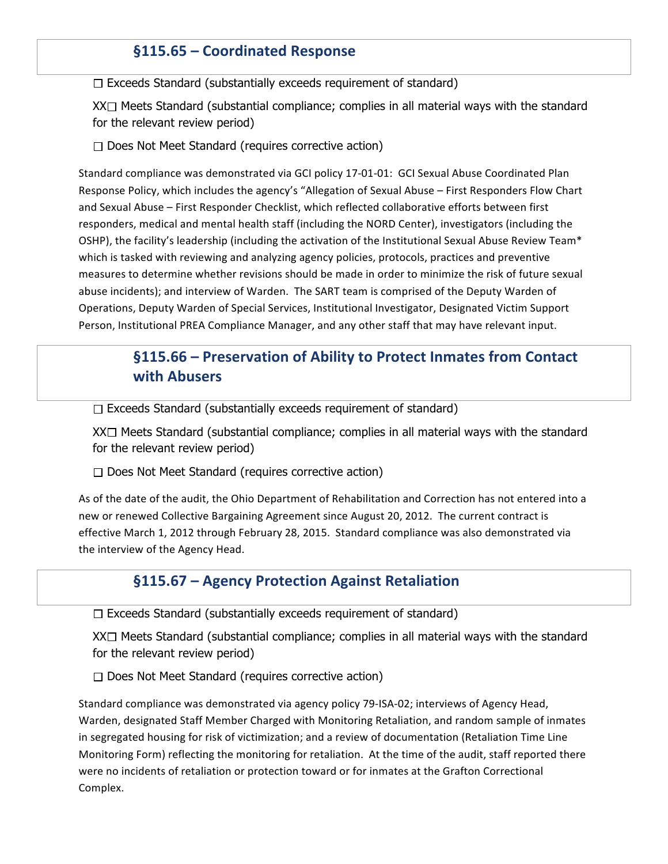#### §115.65 - Coordinated Response

 $\Box$  Exceeds Standard (substantially exceeds requirement of standard)

 $XX \square$  Meets Standard (substantial compliance; complies in all material ways with the standard for the relevant review period)

 $\Box$  Does Not Meet Standard (requires corrective action)

Standard compliance was demonstrated via GCI policy 17-01-01: GCI Sexual Abuse Coordinated Plan Response Policy, which includes the agency's "Allegation of Sexual Abuse – First Responders Flow Chart and Sexual Abuse - First Responder Checklist, which reflected collaborative efforts between first responders, medical and mental health staff (including the NORD Center), investigators (including the OSHP), the facility's leadership (including the activation of the Institutional Sexual Abuse Review Team\* which is tasked with reviewing and analyzing agency policies, protocols, practices and preventive measures to determine whether revisions should be made in order to minimize the risk of future sexual abuse incidents); and interview of Warden. The SART team is comprised of the Deputy Warden of Operations, Deputy Warden of Special Services, Institutional Investigator, Designated Victim Support Person, Institutional PREA Compliance Manager, and any other staff that may have relevant input.

# **§115.66** – Preservation of Ability to Protect Inmates from Contact **with Abusers**

 $\Box$  Exceeds Standard (substantially exceeds requirement of standard)

 $XX\Box$  Meets Standard (substantial compliance; complies in all material ways with the standard for the relevant review period)

 $\Box$  Does Not Meet Standard (requires corrective action)

As of the date of the audit, the Ohio Department of Rehabilitation and Correction has not entered into a new or renewed Collective Bargaining Agreement since August 20, 2012. The current contract is effective March 1, 2012 through February 28, 2015. Standard compliance was also demonstrated via the interview of the Agency Head.

#### §115.67 – Agency Protection Against Retaliation

 $\Box$  Exceeds Standard (substantially exceeds requirement of standard)

 $XX \square$  Meets Standard (substantial compliance; complies in all material ways with the standard for the relevant review period)

 $\Box$  Does Not Meet Standard (requires corrective action)

Standard compliance was demonstrated via agency policy 79-ISA-02; interviews of Agency Head, Warden, designated Staff Member Charged with Monitoring Retaliation, and random sample of inmates in segregated housing for risk of victimization; and a review of documentation (Retaliation Time Line Monitoring Form) reflecting the monitoring for retaliation. At the time of the audit, staff reported there were no incidents of retaliation or protection toward or for inmates at the Grafton Correctional Complex.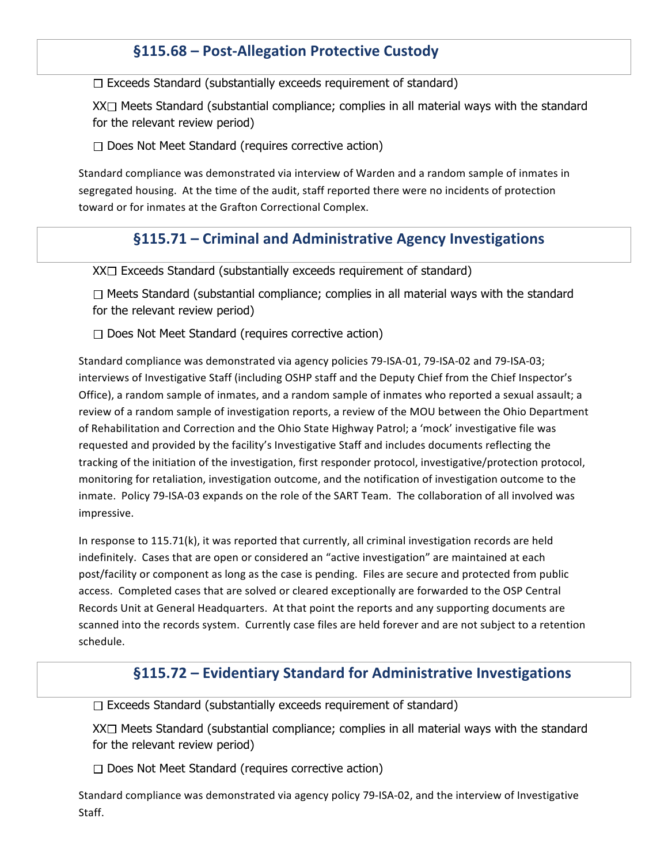### §115.68 - Post-Allegation Protective Custody

 $\Box$  Exceeds Standard (substantially exceeds requirement of standard)

 $XX \square$  Meets Standard (substantial compliance; complies in all material ways with the standard for the relevant review period)

 $\Box$  Does Not Meet Standard (requires corrective action)

Standard compliance was demonstrated via interview of Warden and a random sample of inmates in segregated housing. At the time of the audit, staff reported there were no incidents of protection toward or for inmates at the Grafton Correctional Complex.

#### §115.71 – Criminal and Administrative Agency Investigations

 $XX \square$  Exceeds Standard (substantially exceeds requirement of standard)

 $\Box$  Meets Standard (substantial compliance; complies in all material ways with the standard for the relevant review period)

 $\Box$  Does Not Meet Standard (requires corrective action)

Standard compliance was demonstrated via agency policies 79-ISA-01, 79-ISA-02 and 79-ISA-03; interviews of Investigative Staff (including OSHP staff and the Deputy Chief from the Chief Inspector's Office), a random sample of inmates, and a random sample of inmates who reported a sexual assault; a review of a random sample of investigation reports, a review of the MOU between the Ohio Department of Rehabilitation and Correction and the Ohio State Highway Patrol; a 'mock' investigative file was requested and provided by the facility's Investigative Staff and includes documents reflecting the tracking of the initiation of the investigation, first responder protocol, investigative/protection protocol, monitoring for retaliation, investigation outcome, and the notification of investigation outcome to the inmate. Policy 79-ISA-03 expands on the role of the SART Team. The collaboration of all involved was impressive. 

In response to  $115.71(k)$ , it was reported that currently, all criminal investigation records are held indefinitely. Cases that are open or considered an "active investigation" are maintained at each post/facility or component as long as the case is pending. Files are secure and protected from public access. Completed cases that are solved or cleared exceptionally are forwarded to the OSP Central Records Unit at General Headquarters. At that point the reports and any supporting documents are scanned into the records system. Currently case files are held forever and are not subject to a retention schedule. 

#### **§115.72 – Evidentiary Standard for Administrative Investigations**

 $\Box$  Exceeds Standard (substantially exceeds requirement of standard)

 $XX \square$  Meets Standard (substantial compliance; complies in all material ways with the standard for the relevant review period)

 $\Box$  Does Not Meet Standard (requires corrective action)

Standard compliance was demonstrated via agency policy 79-ISA-02, and the interview of Investigative Staff.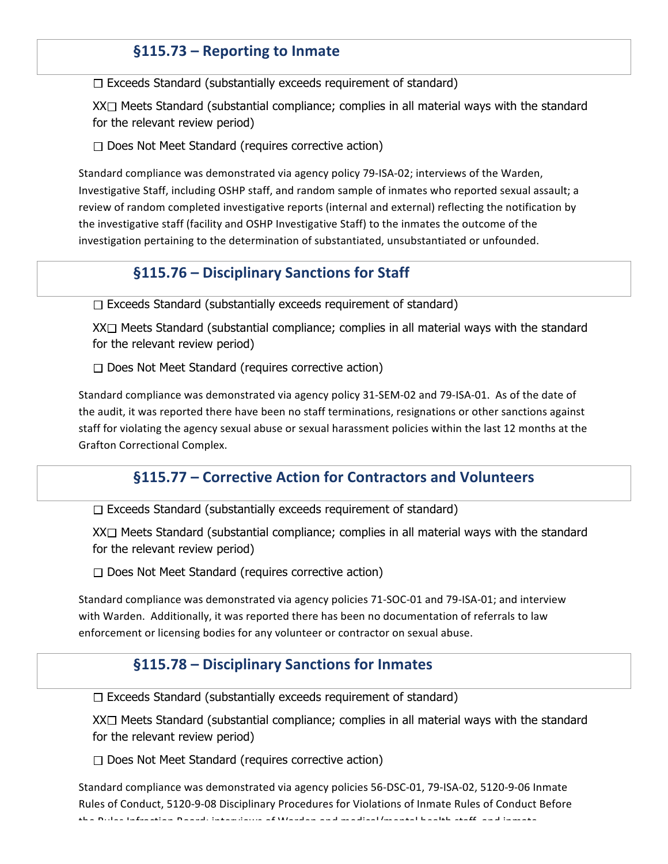#### **§115.73 – Reporting to Inmate**

 $\Box$  Exceeds Standard (substantially exceeds requirement of standard)

 $XX \square$  Meets Standard (substantial compliance; complies in all material ways with the standard for the relevant review period)

 $\Box$  Does Not Meet Standard (requires corrective action)

Standard compliance was demonstrated via agency policy 79-ISA-02; interviews of the Warden, Investigative Staff, including OSHP staff, and random sample of inmates who reported sexual assault; a review of random completed investigative reports (internal and external) reflecting the notification by the investigative staff (facility and OSHP Investigative Staff) to the inmates the outcome of the investigation pertaining to the determination of substantiated, unsubstantiated or unfounded.

#### §115.76 - Disciplinary Sanctions for Staff

Exceeds Standard (substantially exceeds requirement of standard)

 $XX \Box$  Meets Standard (substantial compliance; complies in all material ways with the standard for the relevant review period)

 $\Box$  Does Not Meet Standard (requires corrective action)

Standard compliance was demonstrated via agency policy 31-SEM-02 and 79-ISA-01. As of the date of the audit, it was reported there have been no staff terminations, resignations or other sanctions against staff for violating the agency sexual abuse or sexual harassment policies within the last 12 months at the Grafton Correctional Complex.

#### **§115.77 – Corrective Action for Contractors and Volunteers**

 $\Box$  Exceeds Standard (substantially exceeds requirement of standard)

 $XX \square$  Meets Standard (substantial compliance; complies in all material ways with the standard for the relevant review period)

 $\Box$  Does Not Meet Standard (requires corrective action)

Standard compliance was demonstrated via agency policies 71-SOC-01 and 79-ISA-01; and interview with Warden. Additionally, it was reported there has been no documentation of referrals to law enforcement or licensing bodies for any volunteer or contractor on sexual abuse.

#### **§115.78 – Disciplinary Sanctions for Inmates**

 $\Box$  Exceeds Standard (substantially exceeds requirement of standard)

 $XX\Box$  Meets Standard (substantial compliance; complies in all material ways with the standard for the relevant review period)

 $\Box$  Does Not Meet Standard (requires corrective action)

Standard compliance was demonstrated via agency policies 56-DSC-01, 79-ISA-02, 5120-9-06 Inmate Rules of Conduct, 5120-9-08 Disciplinary Procedures for Violations of Inmate Rules of Conduct Before the  $\overline{D}$ ules infraction  $\overline{D}$ and; interviews of  $M$ arden and mental mental mental health staff, and inmate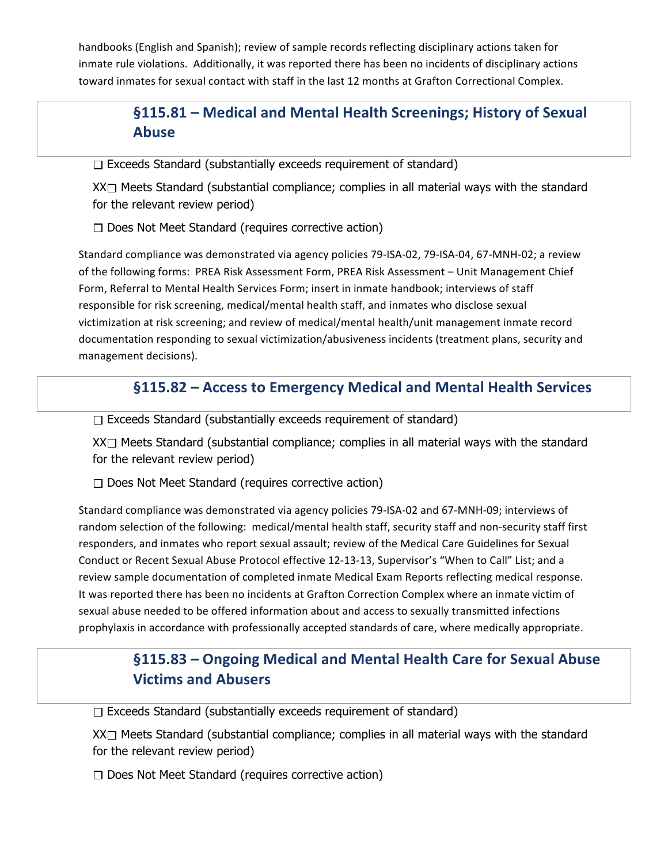handbooks (English and Spanish); review of sample records reflecting disciplinary actions taken for inmate rule violations. Additionally, it was reported there has been no incidents of disciplinary actions toward inmates for sexual contact with staff in the last 12 months at Grafton Correctional Complex.

# **§115.81 – Medical and Mental Health Screenings; History of Sexual Abuse**

 $\Box$  Exceeds Standard (substantially exceeds requirement of standard)

 $XX \Box$  Meets Standard (substantial compliance; complies in all material ways with the standard for the relevant review period)

 $\Box$  Does Not Meet Standard (requires corrective action)

Standard compliance was demonstrated via agency policies 79-ISA-02, 79-ISA-04, 67-MNH-02; a review of the following forms: PREA Risk Assessment Form, PREA Risk Assessment - Unit Management Chief Form, Referral to Mental Health Services Form; insert in inmate handbook; interviews of staff responsible for risk screening, medical/mental health staff, and inmates who disclose sexual victimization at risk screening; and review of medical/mental health/unit management inmate record documentation responding to sexual victimization/abusiveness incidents (treatment plans, security and management decisions).

### §115.82 – Access to Emergency Medical and Mental Health Services

 $\Box$  Exceeds Standard (substantially exceeds requirement of standard)

 $XX \square$  Meets Standard (substantial compliance; complies in all material ways with the standard for the relevant review period)

 $\Box$  Does Not Meet Standard (requires corrective action)

Standard compliance was demonstrated via agency policies 79-ISA-02 and 67-MNH-09; interviews of random selection of the following: medical/mental health staff, security staff and non-security staff first responders, and inmates who report sexual assault; review of the Medical Care Guidelines for Sexual Conduct or Recent Sexual Abuse Protocol effective 12-13-13, Supervisor's "When to Call" List; and a review sample documentation of completed inmate Medical Exam Reports reflecting medical response. It was reported there has been no incidents at Grafton Correction Complex where an inmate victim of sexual abuse needed to be offered information about and access to sexually transmitted infections prophylaxis in accordance with professionally accepted standards of care, where medically appropriate.

# §115.83 – Ongoing Medical and Mental Health Care for Sexual Abuse **Victims and Abusers**

 $\Box$  Exceeds Standard (substantially exceeds requirement of standard)

 $XX \Box$  Meets Standard (substantial compliance; complies in all material ways with the standard for the relevant review period)

 $\Box$  Does Not Meet Standard (requires corrective action)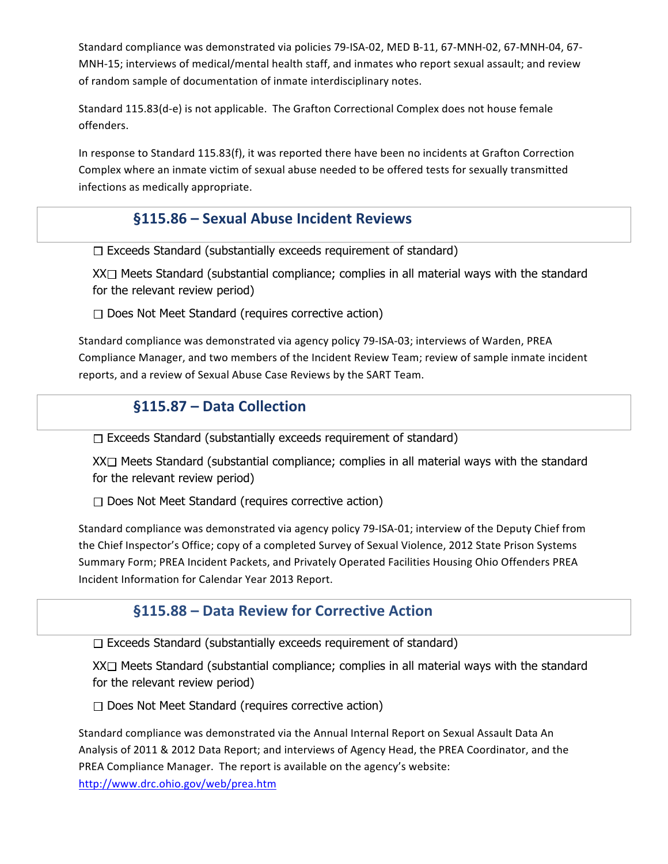Standard compliance was demonstrated via policies 79-ISA-02, MED B-11, 67-MNH-02, 67-MNH-04, 67-MNH-15; interviews of medical/mental health staff, and inmates who report sexual assault; and review of random sample of documentation of inmate interdisciplinary notes.

Standard 115.83(d-e) is not applicable. The Grafton Correctional Complex does not house female offenders. 

In response to Standard 115.83(f), it was reported there have been no incidents at Grafton Correction Complex where an inmate victim of sexual abuse needed to be offered tests for sexually transmitted infections as medically appropriate.

#### **§115.86 – Sexual Abuse Incident Reviews**

 $\Box$  Exceeds Standard (substantially exceeds requirement of standard)

 $XX \square$  Meets Standard (substantial compliance; complies in all material ways with the standard for the relevant review period)

 $\Box$  Does Not Meet Standard (requires corrective action)

Standard compliance was demonstrated via agency policy 79-ISA-03; interviews of Warden, PREA Compliance Manager, and two members of the Incident Review Team; review of sample inmate incident reports, and a review of Sexual Abuse Case Reviews by the SART Team.

# **§115.87 – Data Collection**

 $\Box$  Exceeds Standard (substantially exceeds requirement of standard)

 $XX\Box$  Meets Standard (substantial compliance; complies in all material ways with the standard for the relevant review period)

 $\Box$  Does Not Meet Standard (requires corrective action)

Standard compliance was demonstrated via agency policy 79-ISA-01; interview of the Deputy Chief from the Chief Inspector's Office; copy of a completed Survey of Sexual Violence, 2012 State Prison Systems Summary Form; PREA Incident Packets, and Privately Operated Facilities Housing Ohio Offenders PREA Incident Information for Calendar Year 2013 Report.

#### **§115.88 – Data Review for Corrective Action**

 $\Box$  Exceeds Standard (substantially exceeds requirement of standard)

 $XX\Box$  Meets Standard (substantial compliance; complies in all material ways with the standard for the relevant review period)

 $\Box$  Does Not Meet Standard (requires corrective action)

Standard compliance was demonstrated via the Annual Internal Report on Sexual Assault Data An Analysis of 2011 & 2012 Data Report; and interviews of Agency Head, the PREA Coordinator, and the PREA Compliance Manager. The report is available on the agency's website: http://www.drc.ohio.gov/web/prea.htm